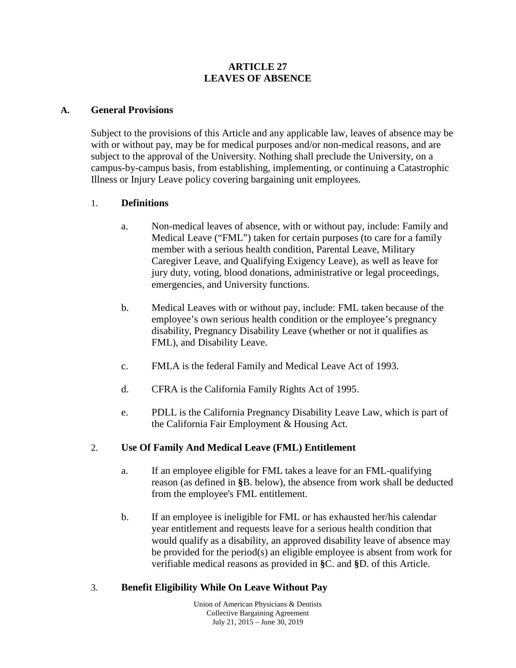#### **ARTICLE 27 LEAVES OF ABSENCE**

#### **A. General Provisions**

Subject to the provisions of this Article and any applicable law, leaves of absence may be with or without pay, may be for medical purposes and/or non-medical reasons, and are subject to the approval of the University. Nothing shall preclude the University, on a campus-by-campus basis, from establishing, implementing, or continuing a Catastrophic Illness or Injury Leave policy covering bargaining unit employees.

#### 1. **Definitions**

- a. Non-medical leaves of absence, with or without pay, include: Family and Medical Leave ("FML") taken for certain purposes (to care for a family member with a serious health condition, Parental Leave, Military Caregiver Leave, and Qualifying Exigency Leave), as well as leave for jury duty, voting, blood donations, administrative or legal proceedings, emergencies, and University functions.
- b. Medical Leaves with or without pay, include: FML taken because of the employee's own serious health condition or the employee's pregnancy disability, Pregnancy Disability Leave (whether or not it qualifies as FML), and Disability Leave.
- c. FMLA is the federal Family and Medical Leave Act of 1993.
- d. CFRA is the California Family Rights Act of 1995.
- e. PDLL is the California Pregnancy Disability Leave Law, which is part of the California Fair Employment & Housing Act.

#### 2. **Use Of Family And Medical Leave (FML) Entitlement**

- a. If an employee eligible for FML takes a leave for an FML-qualifying reason (as defined in **§**B. below), the absence from work shall be deducted from the employee's FML entitlement.
- b. If an employee is ineligible for FML or has exhausted her/his calendar year entitlement and requests leave for a serious health condition that would qualify as a disability, an approved disability leave of absence may be provided for the period(s) an eligible employee is absent from work for verifiable medical reasons as provided in **§**C. and **§**D. of this Article.

### 3. **Benefit Eligibility While On Leave Without Pay**

Union of American Physicians & Dentists Collective Bargaining Agreement July 21,  $2015 -$  June 30, 2019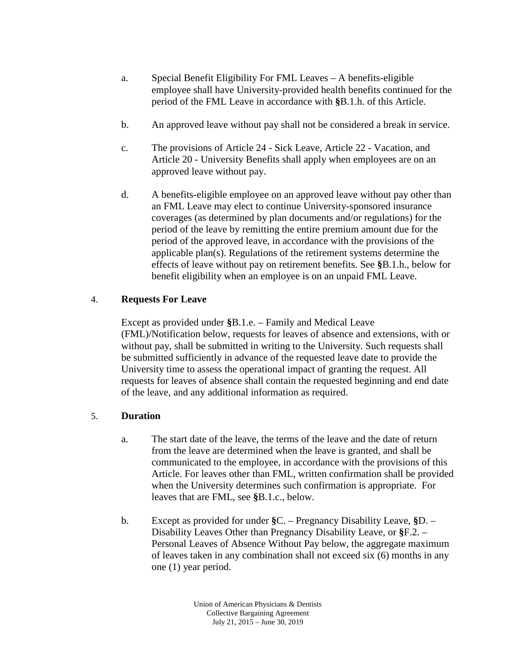- a. Special Benefit Eligibility For FML Leaves A benefits-eligible employee shall have University-provided health benefits continued for the period of the FML Leave in accordance with **§**B.1.h. of this Article.
- b. An approved leave without pay shall not be considered a break in service.
- c. The provisions of Article 24 Sick Leave, Article 22 Vacation, and Article 20 - University Benefits shall apply when employees are on an approved leave without pay.
- d. A benefits-eligible employee on an approved leave without pay other than an FML Leave may elect to continue University-sponsored insurance coverages (as determined by plan documents and/or regulations) for the period of the leave by remitting the entire premium amount due for the period of the approved leave, in accordance with the provisions of the applicable plan(s). Regulations of the retirement systems determine the effects of leave without pay on retirement benefits. See **§**B.1.h., below for benefit eligibility when an employee is on an unpaid FML Leave.

## 4. **Requests For Leave**

Except as provided under **§**B.1.e. – Family and Medical Leave (FML)/Notification below, requests for leaves of absence and extensions, with or without pay, shall be submitted in writing to the University. Such requests shall be submitted sufficiently in advance of the requested leave date to provide the University time to assess the operational impact of granting the request. All requests for leaves of absence shall contain the requested beginning and end date of the leave, and any additional information as required.

# 5. **Duration**

- a. The start date of the leave, the terms of the leave and the date of return from the leave are determined when the leave is granted, and shall be communicated to the employee, in accordance with the provisions of this Article. For leaves other than FML, written confirmation shall be provided when the University determines such confirmation is appropriate. For leaves that are FML, see **§**B.1.c., below.
- b. Except as provided for under **§**C. Pregnancy Disability Leave, **§**D. Disability Leaves Other than Pregnancy Disability Leave, or **§**F.2. – Personal Leaves of Absence Without Pay below, the aggregate maximum of leaves taken in any combination shall not exceed six (6) months in any one (1) year period.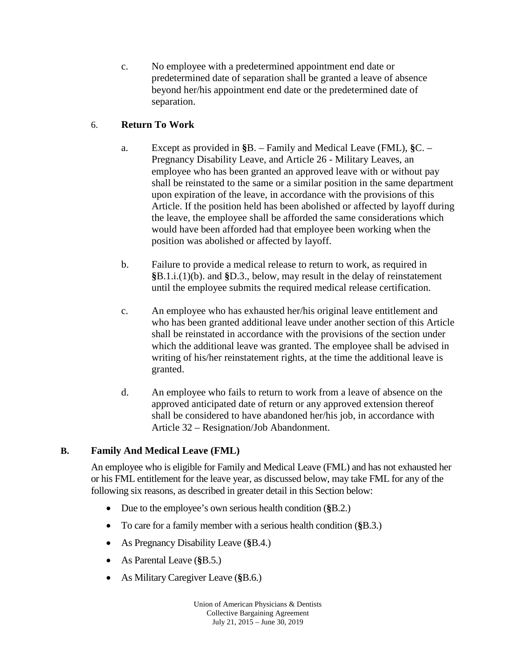c. No employee with a predetermined appointment end date or predetermined date of separation shall be granted a leave of absence beyond her/his appointment end date or the predetermined date of separation.

# 6. **Return To Work**

- a. Except as provided in **§**B. Family and Medical Leave (FML), **§**C. Pregnancy Disability Leave, and Article 26 - Military Leaves, an employee who has been granted an approved leave with or without pay shall be reinstated to the same or a similar position in the same department upon expiration of the leave, in accordance with the provisions of this Article. If the position held has been abolished or affected by layoff during the leave, the employee shall be afforded the same considerations which would have been afforded had that employee been working when the position was abolished or affected by layoff.
- b. Failure to provide a medical release to return to work, as required in **§**B.1.i.(1)(b). and **§**D.3., below, may result in the delay of reinstatement until the employee submits the required medical release certification.
- c. An employee who has exhausted her/his original leave entitlement and who has been granted additional leave under another section of this Article shall be reinstated in accordance with the provisions of the section under which the additional leave was granted. The employee shall be advised in writing of his/her reinstatement rights, at the time the additional leave is granted.
- d. An employee who fails to return to work from a leave of absence on the approved anticipated date of return or any approved extension thereof shall be considered to have abandoned her/his job, in accordance with Article 32 – Resignation/Job Abandonment.

# **B. Family And Medical Leave (FML)**

An employee who is eligible for Family and Medical Leave (FML) and has not exhausted her or his FML entitlement for the leave year, as discussed below, may take FML for any of the following six reasons, as described in greater detail in this Section below:

- Due to the employee's own serious health condition (**§**B.2.)
- To care for a family member with a serious health condition (**§**B.3.)
- As Pregnancy Disability Leave (**§**B.4.)
- As Parental Leave (**§**B.5.)
- As Military Caregiver Leave (**§**B.6.)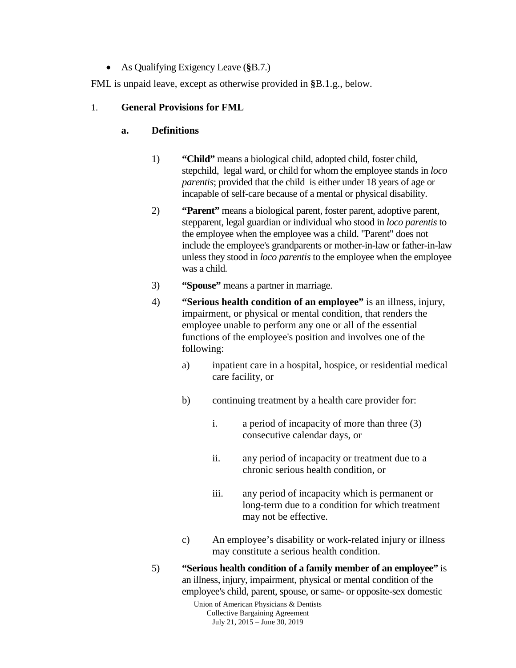• As Qualifying Exigency Leave (**§**B.7.)

FML is unpaid leave, except as otherwise provided in **§**B.1.g., below.

## 1. **General Provisions for FML**

## **a. Definitions**

- 1) **"Child"** means a biological child, adopted child, foster child, stepchild, legal ward, or child for whom the employee stands in *loco parentis*; provided that the child is either under 18 years of age or incapable of self-care because of a mental or physical disability.
- 2) **"Parent"** means a biological parent, foster parent, adoptive parent, stepparent, legal guardian or individual who stood in *loco parentis* to the employee when the employee was a child. "Parent" does not include the employee's grandparents or mother-in-law or father-in-law unless they stood in *loco parentis* to the employee when the employee was a child*.*
- 3) **"Spouse"** means a partner in marriage.
- 4) **"Serious health condition of an employee"** is an illness, injury, impairment, or physical or mental condition, that renders the employee unable to perform any one or all of the essential functions of the employee's position and involves one of the following:
	- a) inpatient care in a hospital, hospice, or residential medical care facility, or
	- b) continuing treatment by a health care provider for:
		- i. a period of incapacity of more than three (3) consecutive calendar days, or
		- ii. any period of incapacity or treatment due to a chronic serious health condition, or
		- iii. any period of incapacity which is permanent or long-term due to a condition for which treatment may not be effective.
	- c) An employee's disability or work-related injury or illness may constitute a serious health condition.
- 5) **"Serious health condition of a family member of an employee"** is an illness, injury, impairment, physical or mental condition of the employee's child, parent, spouse, or same- or opposite-sex domestic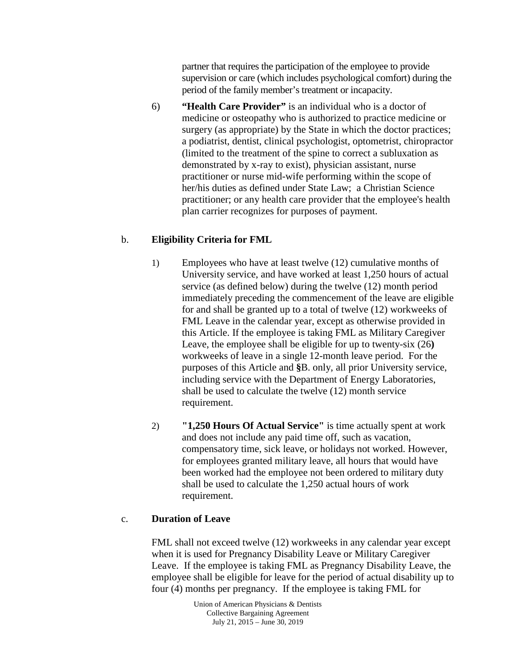partner that requires the participation of the employee to provide supervision or care (which includes psychological comfort) during the period of the family member's treatment or incapacity.

6) **"Health Care Provider"** is an individual who is a doctor of medicine or osteopathy who is authorized to practice medicine or surgery (as appropriate) by the State in which the doctor practices; a podiatrist, dentist, clinical psychologist, optometrist, chiropractor (limited to the treatment of the spine to correct a subluxation as demonstrated by x-ray to exist), physician assistant, nurse practitioner or nurse mid-wife performing within the scope of her/his duties as defined under State Law; a Christian Science practitioner; or any health care provider that the employee's health plan carrier recognizes for purposes of payment.

# b. **Eligibility Criteria for FML**

- 1) Employees who have at least twelve (12) cumulative months of University service, and have worked at least 1,250 hours of actual service (as defined below) during the twelve (12) month period immediately preceding the commencement of the leave are eligible for and shall be granted up to a total of twelve (12) workweeks of FML Leave in the calendar year, except as otherwise provided in this Article. If the employee is taking FML as Military Caregiver Leave, the employee shall be eligible for up to twenty-six (26**)** workweeks of leave in a single 12-month leave period. For the purposes of this Article and **§**B. only, all prior University service, including service with the Department of Energy Laboratories, shall be used to calculate the twelve (12) month service requirement.
- 2) **"1,250 Hours Of Actual Service"** is time actually spent at work and does not include any paid time off, such as vacation, compensatory time, sick leave, or holidays not worked. However, for employees granted military leave, all hours that would have been worked had the employee not been ordered to military duty shall be used to calculate the 1,250 actual hours of work requirement.

# c. **Duration of Leave**

FML shall not exceed twelve (12) workweeks in any calendar year except when it is used for Pregnancy Disability Leave or Military Caregiver Leave. If the employee is taking FML as Pregnancy Disability Leave, the employee shall be eligible for leave for the period of actual disability up to four (4) months per pregnancy. If the employee is taking FML for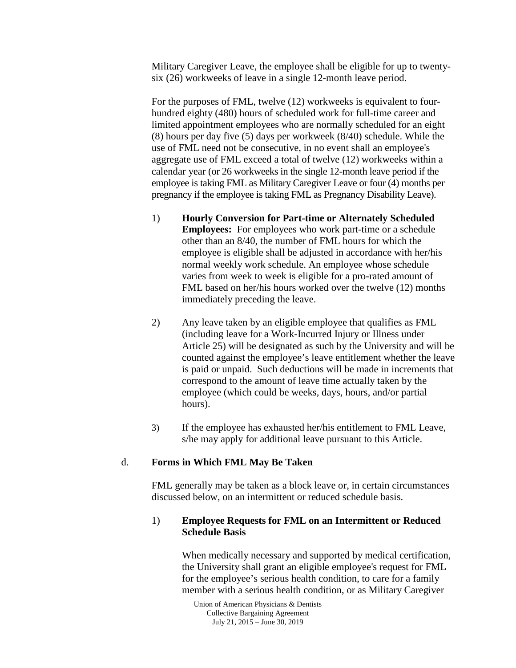Military Caregiver Leave, the employee shall be eligible for up to twentysix (26) workweeks of leave in a single 12-month leave period.

For the purposes of FML, twelve (12) workweeks is equivalent to fourhundred eighty (480) hours of scheduled work for full-time career and limited appointment employees who are normally scheduled for an eight (8) hours per day five (5) days per workweek (8/40) schedule. While the use of FML need not be consecutive, in no event shall an employee's aggregate use of FML exceed a total of twelve (12) workweeks within a calendar year (or 26 workweeks in the single 12-month leave period if the employee is taking FML as Military Caregiver Leave or four (4) months per pregnancy if the employee is taking FML as Pregnancy Disability Leave).

- 1) **Hourly Conversion for Part-time or Alternately Scheduled Employees:** For employees who work part-time or a schedule other than an 8/40, the number of FML hours for which the employee is eligible shall be adjusted in accordance with her/his normal weekly work schedule. An employee whose schedule varies from week to week is eligible for a pro-rated amount of FML based on her/his hours worked over the twelve (12) months immediately preceding the leave.
- 2) Any leave taken by an eligible employee that qualifies as FML (including leave for a Work-Incurred Injury or Illness under Article 25) will be designated as such by the University and will be counted against the employee's leave entitlement whether the leave is paid or unpaid. Such deductions will be made in increments that correspond to the amount of leave time actually taken by the employee (which could be weeks, days, hours, and/or partial hours).
- 3) If the employee has exhausted her/his entitlement to FML Leave, s/he may apply for additional leave pursuant to this Article.

### d. **Forms in Which FML May Be Taken**

FML generally may be taken as a block leave or, in certain circumstances discussed below, on an intermittent or reduced schedule basis.

#### 1) **Employee Requests for FML on an Intermittent or Reduced Schedule Basis**

When medically necessary and supported by medical certification, the University shall grant an eligible employee's request for FML for the employee's serious health condition, to care for a family member with a serious health condition, or as Military Caregiver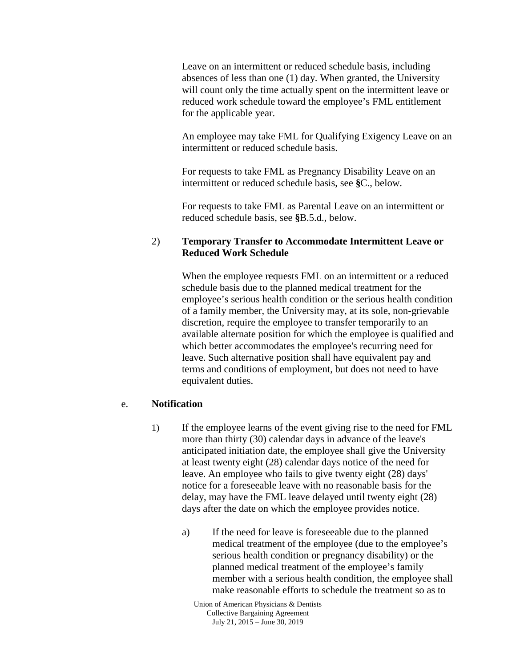Leave on an intermittent or reduced schedule basis, including absences of less than one (1) day. When granted, the University will count only the time actually spent on the intermittent leave or reduced work schedule toward the employee's FML entitlement for the applicable year.

An employee may take FML for Qualifying Exigency Leave on an intermittent or reduced schedule basis.

For requests to take FML as Pregnancy Disability Leave on an intermittent or reduced schedule basis, see **§**C., below.

For requests to take FML as Parental Leave on an intermittent or reduced schedule basis, see **§**B.5.d., below.

#### 2) **Temporary Transfer to Accommodate Intermittent Leave or Reduced Work Schedule**

When the employee requests FML on an intermittent or a reduced schedule basis due to the planned medical treatment for the employee's serious health condition or the serious health condition of a family member, the University may, at its sole, non-grievable discretion, require the employee to transfer temporarily to an available alternate position for which the employee is qualified and which better accommodates the employee's recurring need for leave. Such alternative position shall have equivalent pay and terms and conditions of employment, but does not need to have equivalent duties.

#### e. **Notification**

- 1) If the employee learns of the event giving rise to the need for FML more than thirty (30) calendar days in advance of the leave's anticipated initiation date, the employee shall give the University at least twenty eight (28) calendar days notice of the need for leave. An employee who fails to give twenty eight (28) days' notice for a foreseeable leave with no reasonable basis for the delay, may have the FML leave delayed until twenty eight (28) days after the date on which the employee provides notice.
	- a) If the need for leave is foreseeable due to the planned medical treatment of the employee (due to the employee's serious health condition or pregnancy disability) or the planned medical treatment of the employee's family member with a serious health condition, the employee shall make reasonable efforts to schedule the treatment so as to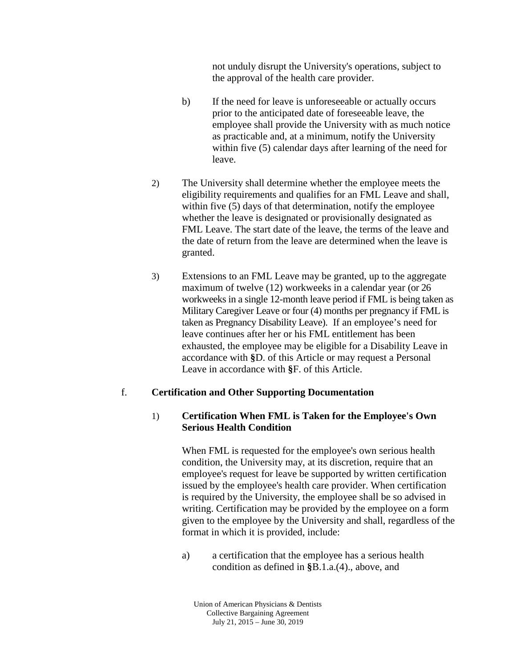not unduly disrupt the University's operations, subject to the approval of the health care provider.

- b) If the need for leave is unforeseeable or actually occurs prior to the anticipated date of foreseeable leave, the employee shall provide the University with as much notice as practicable and, at a minimum, notify the University within five (5) calendar days after learning of the need for leave.
- 2) The University shall determine whether the employee meets the eligibility requirements and qualifies for an FML Leave and shall, within five (5) days of that determination, notify the employee whether the leave is designated or provisionally designated as FML Leave. The start date of the leave, the terms of the leave and the date of return from the leave are determined when the leave is granted.
- 3) Extensions to an FML Leave may be granted, up to the aggregate maximum of twelve (12) workweeks in a calendar year (or 26 workweeks in a single 12-month leave period if FML is being taken as Military Caregiver Leave or four (4) months per pregnancy if FML is taken as Pregnancy Disability Leave). If an employee's need for leave continues after her or his FML entitlement has been exhausted, the employee may be eligible for a Disability Leave in accordance with **§**D. of this Article or may request a Personal Leave in accordance with **§**F. of this Article.

### f. **Certification and Other Supporting Documentation**

### 1) **Certification When FML is Taken for the Employee's Own Serious Health Condition**

When FML is requested for the employee's own serious health condition, the University may, at its discretion, require that an employee's request for leave be supported by written certification issued by the employee's health care provider. When certification is required by the University, the employee shall be so advised in writing. Certification may be provided by the employee on a form given to the employee by the University and shall, regardless of the format in which it is provided, include:

a) a certification that the employee has a serious health condition as defined in **§**B.1.a.(4)., above, and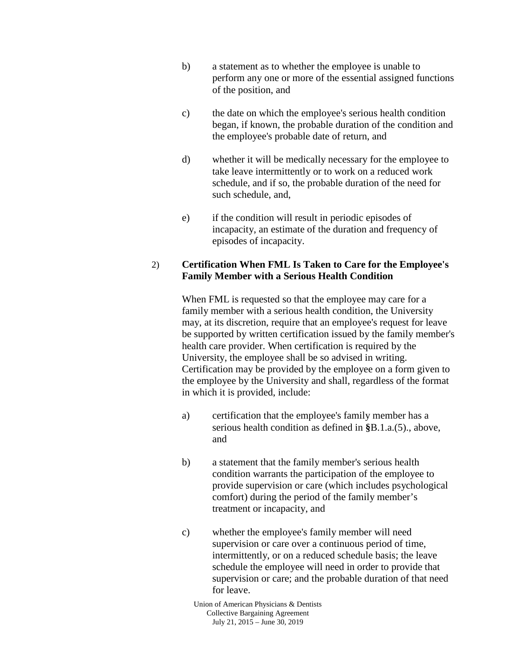- b) a statement as to whether the employee is unable to perform any one or more of the essential assigned functions of the position, and
- c) the date on which the employee's serious health condition began, if known, the probable duration of the condition and the employee's probable date of return, and
- d) whether it will be medically necessary for the employee to take leave intermittently or to work on a reduced work schedule, and if so, the probable duration of the need for such schedule, and,
- e) if the condition will result in periodic episodes of incapacity, an estimate of the duration and frequency of episodes of incapacity.

#### 2) **Certification When FML Is Taken to Care for the Employee's Family Member with a Serious Health Condition**

When FML is requested so that the employee may care for a family member with a serious health condition, the University may, at its discretion, require that an employee's request for leave be supported by written certification issued by the family member's health care provider. When certification is required by the University, the employee shall be so advised in writing. Certification may be provided by the employee on a form given to the employee by the University and shall, regardless of the format in which it is provided, include:

- a) certification that the employee's family member has a serious health condition as defined in **§**B.1.a.(5)., above, and
- b) a statement that the family member's serious health condition warrants the participation of the employee to provide supervision or care (which includes psychological comfort) during the period of the family member's treatment or incapacity, and
- c) whether the employee's family member will need supervision or care over a continuous period of time, intermittently, or on a reduced schedule basis; the leave schedule the employee will need in order to provide that supervision or care; and the probable duration of that need for leave.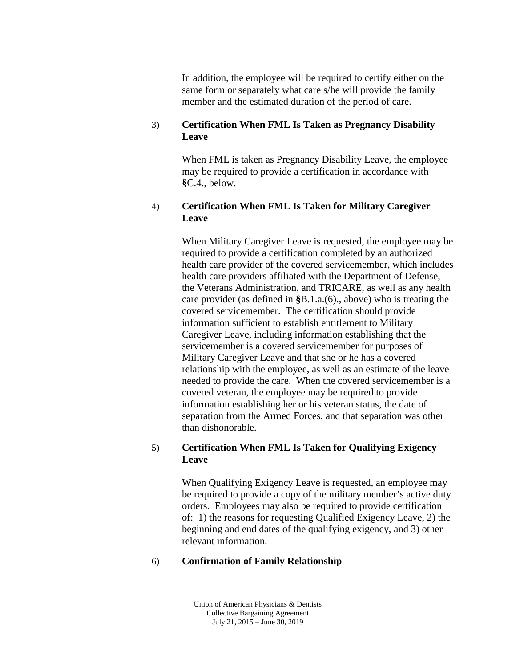In addition, the employee will be required to certify either on the same form or separately what care s/he will provide the family member and the estimated duration of the period of care.

#### 3) **Certification When FML Is Taken as Pregnancy Disability Leave**

When FML is taken as Pregnancy Disability Leave, the employee may be required to provide a certification in accordance with **§**C.4., below.

#### 4) **Certification When FML Is Taken for Military Caregiver Leave**

When Military Caregiver Leave is requested, the employee may be required to provide a certification completed by an authorized health care provider of the covered servicemember, which includes health care providers affiliated with the Department of Defense, the Veterans Administration, and TRICARE, as well as any health care provider (as defined in **§**B.1.a.(6)., above) who is treating the covered servicemember. The certification should provide information sufficient to establish entitlement to Military Caregiver Leave, including information establishing that the servicemember is a covered servicemember for purposes of Military Caregiver Leave and that she or he has a covered relationship with the employee, as well as an estimate of the leave needed to provide the care. When the covered servicemember is a covered veteran, the employee may be required to provide information establishing her or his veteran status, the date of separation from the Armed Forces, and that separation was other than dishonorable.

### 5) **Certification When FML Is Taken for Qualifying Exigency Leave**

When Qualifying Exigency Leave is requested, an employee may be required to provide a copy of the military member's active duty orders. Employees may also be required to provide certification of: 1) the reasons for requesting Qualified Exigency Leave, 2) the beginning and end dates of the qualifying exigency, and 3) other relevant information.

### 6) **Confirmation of Family Relationship**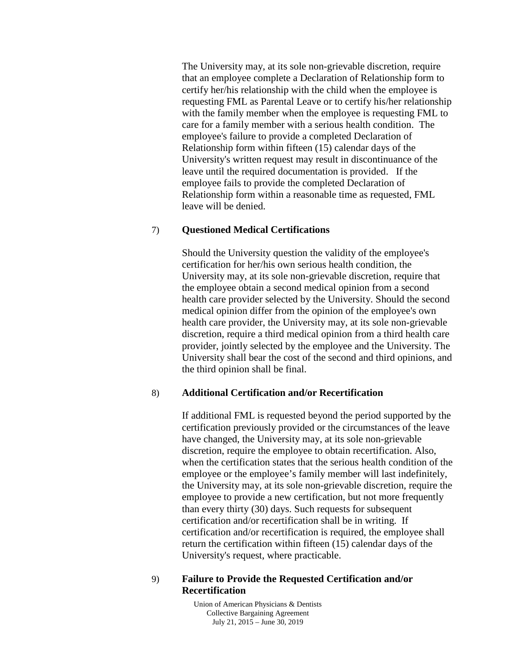The University may, at its sole non-grievable discretion, require that an employee complete a Declaration of Relationship form to certify her/his relationship with the child when the employee is requesting FML as Parental Leave or to certify his/her relationship with the family member when the employee is requesting FML to care for a family member with a serious health condition. The employee's failure to provide a completed Declaration of Relationship form within fifteen (15) calendar days of the University's written request may result in discontinuance of the leave until the required documentation is provided. If the employee fails to provide the completed Declaration of Relationship form within a reasonable time as requested, FML leave will be denied.

#### 7) **Questioned Medical Certifications**

Should the University question the validity of the employee's certification for her/his own serious health condition, the University may, at its sole non-grievable discretion, require that the employee obtain a second medical opinion from a second health care provider selected by the University. Should the second medical opinion differ from the opinion of the employee's own health care provider, the University may, at its sole non-grievable discretion, require a third medical opinion from a third health care provider, jointly selected by the employee and the University. The University shall bear the cost of the second and third opinions, and the third opinion shall be final.

#### 8) **Additional Certification and/or Recertification**

If additional FML is requested beyond the period supported by the certification previously provided or the circumstances of the leave have changed, the University may, at its sole non-grievable discretion, require the employee to obtain recertification. Also, when the certification states that the serious health condition of the employee or the employee's family member will last indefinitely, the University may, at its sole non-grievable discretion, require the employee to provide a new certification, but not more frequently than every thirty (30) days. Such requests for subsequent certification and/or recertification shall be in writing. If certification and/or recertification is required, the employee shall return the certification within fifteen (15) calendar days of the University's request, where practicable.

#### 9) **Failure to Provide the Requested Certification and/or Recertification**

Union of American Physicians & Dentists Collective Bargaining Agreement July 21, 2015 – June 30, 2019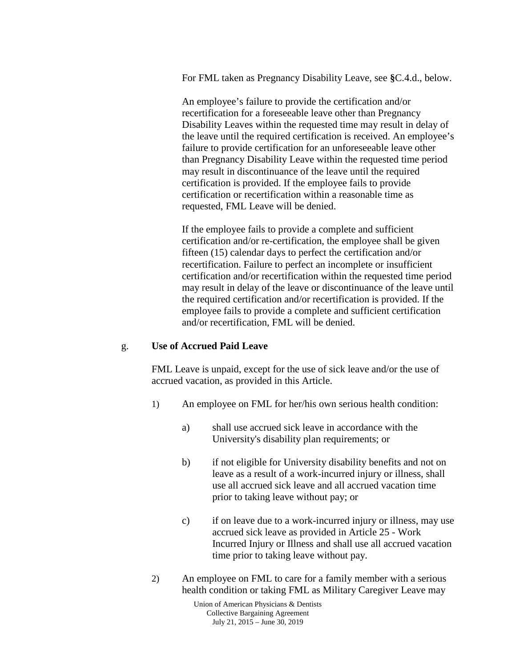For FML taken as Pregnancy Disability Leave, see **§**C.4.d., below.

An employee's failure to provide the certification and/or recertification for a foreseeable leave other than Pregnancy Disability Leaves within the requested time may result in delay of the leave until the required certification is received. An employee's failure to provide certification for an unforeseeable leave other than Pregnancy Disability Leave within the requested time period may result in discontinuance of the leave until the required certification is provided. If the employee fails to provide certification or recertification within a reasonable time as requested, FML Leave will be denied.

If the employee fails to provide a complete and sufficient certification and/or re-certification, the employee shall be given fifteen (15) calendar days to perfect the certification and/or recertification. Failure to perfect an incomplete or insufficient certification and/or recertification within the requested time period may result in delay of the leave or discontinuance of the leave until the required certification and/or recertification is provided. If the employee fails to provide a complete and sufficient certification and/or recertification, FML will be denied.

#### g. **Use of Accrued Paid Leave**

FML Leave is unpaid, except for the use of sick leave and/or the use of accrued vacation, as provided in this Article.

- 1) An employee on FML for her/his own serious health condition:
	- a) shall use accrued sick leave in accordance with the University's disability plan requirements; or
	- b) if not eligible for University disability benefits and not on leave as a result of a work-incurred injury or illness, shall use all accrued sick leave and all accrued vacation time prior to taking leave without pay; or
	- c) if on leave due to a work-incurred injury or illness, may use accrued sick leave as provided in Article 25 - Work Incurred Injury or Illness and shall use all accrued vacation time prior to taking leave without pay.
- 2) An employee on FML to care for a family member with a serious health condition or taking FML as Military Caregiver Leave may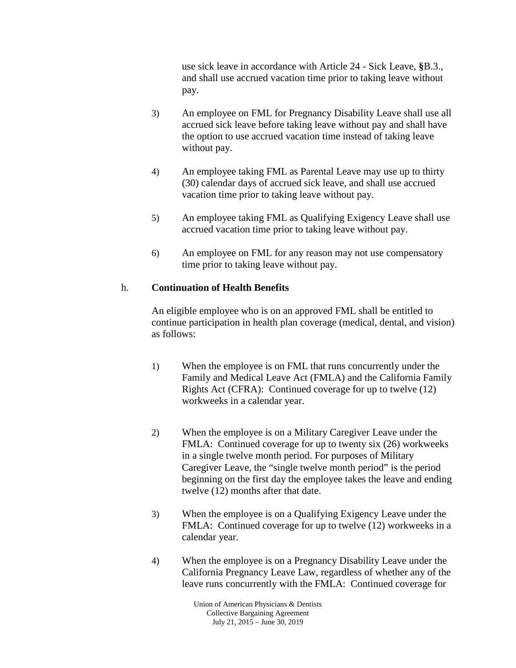use sick leave in accordance with Article 24 - Sick Leave, **§**B.3., and shall use accrued vacation time prior to taking leave without pay.

- 3) An employee on FML for Pregnancy Disability Leave shall use all accrued sick leave before taking leave without pay and shall have the option to use accrued vacation time instead of taking leave without pay.
- 4) An employee taking FML as Parental Leave may use up to thirty (30) calendar days of accrued sick leave, and shall use accrued vacation time prior to taking leave without pay.
- 5) An employee taking FML as Qualifying Exigency Leave shall use accrued vacation time prior to taking leave without pay.
- 6) An employee on FML for any reason may not use compensatory time prior to taking leave without pay.

## h. **Continuation of Health Benefits**

An eligible employee who is on an approved FML shall be entitled to continue participation in health plan coverage (medical, dental, and vision) as follows:

- 1) When the employee is on FML that runs concurrently under the Family and Medical Leave Act (FMLA) and the California Family Rights Act (CFRA): Continued coverage for up to twelve (12) workweeks in a calendar year.
- 2) When the employee is on a Military Caregiver Leave under the FMLA: Continued coverage for up to twenty six (26) workweeks in a single twelve month period. For purposes of Military Caregiver Leave, the "single twelve month period" is the period beginning on the first day the employee takes the leave and ending twelve (12) months after that date.
- 3) When the employee is on a Qualifying Exigency Leave under the FMLA: Continued coverage for up to twelve (12) workweeks in a calendar year.
- 4) When the employee is on a Pregnancy Disability Leave under the California Pregnancy Leave Law, regardless of whether any of the leave runs concurrently with the FMLA: Continued coverage for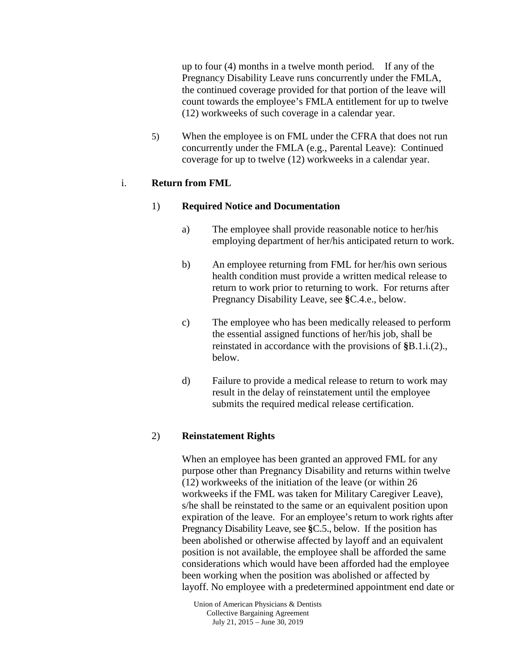up to four (4) months in a twelve month period. If any of the Pregnancy Disability Leave runs concurrently under the FMLA, the continued coverage provided for that portion of the leave will count towards the employee's FMLA entitlement for up to twelve (12) workweeks of such coverage in a calendar year.

5) When the employee is on FML under the CFRA that does not run concurrently under the FMLA (e.g., Parental Leave): Continued coverage for up to twelve (12) workweeks in a calendar year.

#### i. **Return from FML**

#### 1) **Required Notice and Documentation**

- a) The employee shall provide reasonable notice to her/his employing department of her/his anticipated return to work.
- b) An employee returning from FML for her/his own serious health condition must provide a written medical release to return to work prior to returning to work. For returns after Pregnancy Disability Leave, see **§**C.4.e., below.
- c) The employee who has been medically released to perform the essential assigned functions of her/his job, shall be reinstated in accordance with the provisions of **§**B.1.i.(2)., below.
- d) Failure to provide a medical release to return to work may result in the delay of reinstatement until the employee submits the required medical release certification.

### 2) **Reinstatement Rights**

When an employee has been granted an approved FML for any purpose other than Pregnancy Disability and returns within twelve (12) workweeks of the initiation of the leave (or within 26 workweeks if the FML was taken for Military Caregiver Leave), s/he shall be reinstated to the same or an equivalent position upon expiration of the leave. For an employee's return to work rights after Pregnancy Disability Leave, see **§**C.5., below. If the position has been abolished or otherwise affected by layoff and an equivalent position is not available, the employee shall be afforded the same considerations which would have been afforded had the employee been working when the position was abolished or affected by layoff. No employee with a predetermined appointment end date or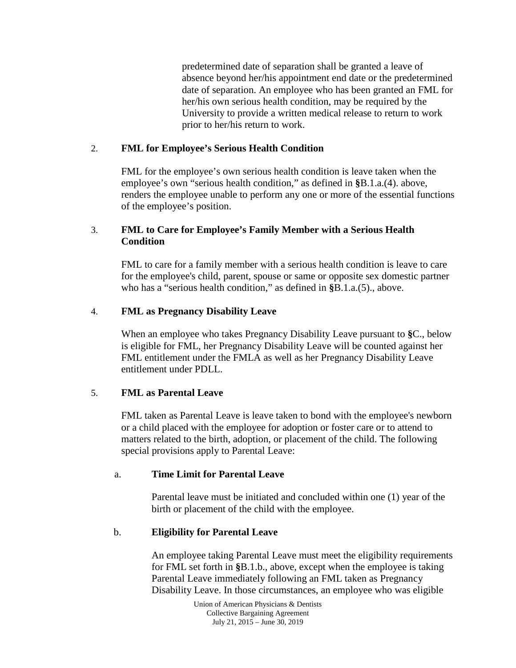predetermined date of separation shall be granted a leave of absence beyond her/his appointment end date or the predetermined date of separation. An employee who has been granted an FML for her/his own serious health condition, may be required by the University to provide a written medical release to return to work prior to her/his return to work.

### 2. **FML for Employee's Serious Health Condition**

FML for the employee's own serious health condition is leave taken when the employee's own "serious health condition," as defined in **§**B.1.a.(4). above, renders the employee unable to perform any one or more of the essential functions of the employee's position.

## 3. **FML to Care for Employee's Family Member with a Serious Health Condition**

FML to care for a family member with a serious health condition is leave to care for the employee's child, parent, spouse or same or opposite sex domestic partner who has a "serious health condition," as defined in **§**B.1.a.(5)., above.

## 4. **FML as Pregnancy Disability Leave**

When an employee who takes Pregnancy Disability Leave pursuant to **§**C., below is eligible for FML, her Pregnancy Disability Leave will be counted against her FML entitlement under the FMLA as well as her Pregnancy Disability Leave entitlement under PDLL.

# 5. **FML as Parental Leave**

FML taken as Parental Leave is leave taken to bond with the employee's newborn or a child placed with the employee for adoption or foster care or to attend to matters related to the birth, adoption, or placement of the child. The following special provisions apply to Parental Leave:

### a. **Time Limit for Parental Leave**

Parental leave must be initiated and concluded within one (1) year of the birth or placement of the child with the employee.

# b. **Eligibility for Parental Leave**

An employee taking Parental Leave must meet the eligibility requirements for FML set forth in **§**B.1.b., above, except when the employee is taking Parental Leave immediately following an FML taken as Pregnancy Disability Leave. In those circumstances, an employee who was eligible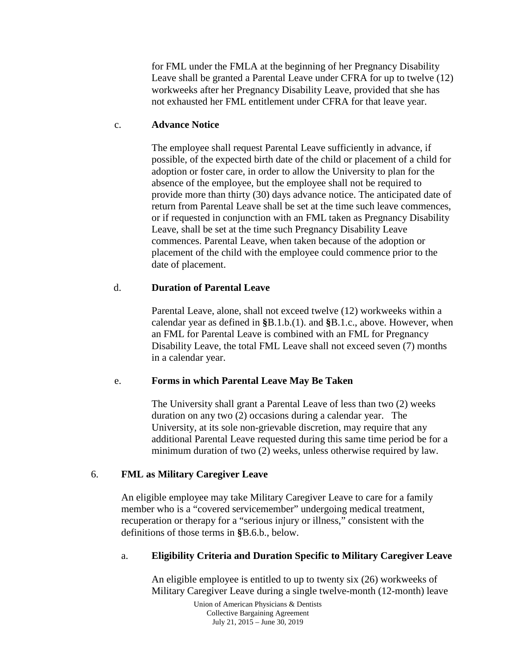for FML under the FMLA at the beginning of her Pregnancy Disability Leave shall be granted a Parental Leave under CFRA for up to twelve (12) workweeks after her Pregnancy Disability Leave, provided that she has not exhausted her FML entitlement under CFRA for that leave year.

#### c. **Advance Notice**

The employee shall request Parental Leave sufficiently in advance, if possible, of the expected birth date of the child or placement of a child for adoption or foster care, in order to allow the University to plan for the absence of the employee, but the employee shall not be required to provide more than thirty (30) days advance notice. The anticipated date of return from Parental Leave shall be set at the time such leave commences, or if requested in conjunction with an FML taken as Pregnancy Disability Leave, shall be set at the time such Pregnancy Disability Leave commences. Parental Leave, when taken because of the adoption or placement of the child with the employee could commence prior to the date of placement.

### d. **Duration of Parental Leave**

Parental Leave, alone, shall not exceed twelve (12) workweeks within a calendar year as defined in **§**B.1.b.(1). and **§**B.1.c., above. However, when an FML for Parental Leave is combined with an FML for Pregnancy Disability Leave, the total FML Leave shall not exceed seven (7) months in a calendar year.

### e. **Forms in which Parental Leave May Be Taken**

The University shall grant a Parental Leave of less than two (2) weeks duration on any two (2) occasions during a calendar year. The University, at its sole non-grievable discretion, may require that any additional Parental Leave requested during this same time period be for a minimum duration of two (2) weeks, unless otherwise required by law.

### 6. **FML as Military Caregiver Leave**

An eligible employee may take Military Caregiver Leave to care for a family member who is a "covered servicemember" undergoing medical treatment, recuperation or therapy for a "serious injury or illness," consistent with the definitions of those terms in **§**B.6.b., below.

### a. **Eligibility Criteria and Duration Specific to Military Caregiver Leave**

An eligible employee is entitled to up to twenty six (26) workweeks of Military Caregiver Leave during a single twelve-month (12-month) leave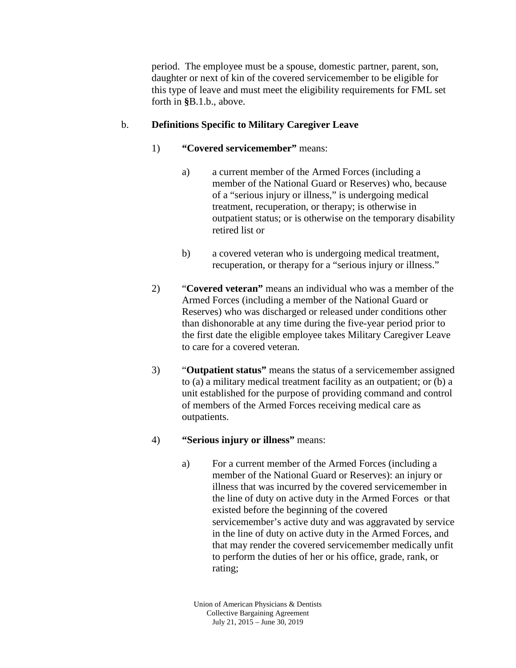period. The employee must be a spouse, domestic partner, parent, son, daughter or next of kin of the covered servicemember to be eligible for this type of leave and must meet the eligibility requirements for FML set forth in **§**B.1.b., above.

### b. **Definitions Specific to Military Caregiver Leave**

- 1) **"Covered servicemember"** means:
	- a) a current member of the Armed Forces (including a member of the National Guard or Reserves) who, because of a "serious injury or illness," is undergoing medical treatment, recuperation, or therapy; is otherwise in outpatient status; or is otherwise on the temporary disability retired list or
	- b) a covered veteran who is undergoing medical treatment, recuperation, or therapy for a "serious injury or illness."
- 2) "**Covered veteran"** means an individual who was a member of the Armed Forces (including a member of the National Guard or Reserves) who was discharged or released under conditions other than dishonorable at any time during the five-year period prior to the first date the eligible employee takes Military Caregiver Leave to care for a covered veteran.
- 3) "**Outpatient status"** means the status of a servicemember assigned to (a) a military medical treatment facility as an outpatient; or (b) a unit established for the purpose of providing command and control of members of the Armed Forces receiving medical care as outpatients.
- 4) **"Serious injury or illness"** means:
	- a) For a current member of the Armed Forces (including a member of the National Guard or Reserves): an injury or illness that was incurred by the covered servicemember in the line of duty on active duty in the Armed Forces or that existed before the beginning of the covered servicemember's active duty and was aggravated by service in the line of duty on active duty in the Armed Forces, and that may render the covered servicemember medically unfit to perform the duties of her or his office, grade, rank, or rating;

Union of American Physicians & Dentists Collective Bargaining Agreement July 21, 2015 – June 30, 2019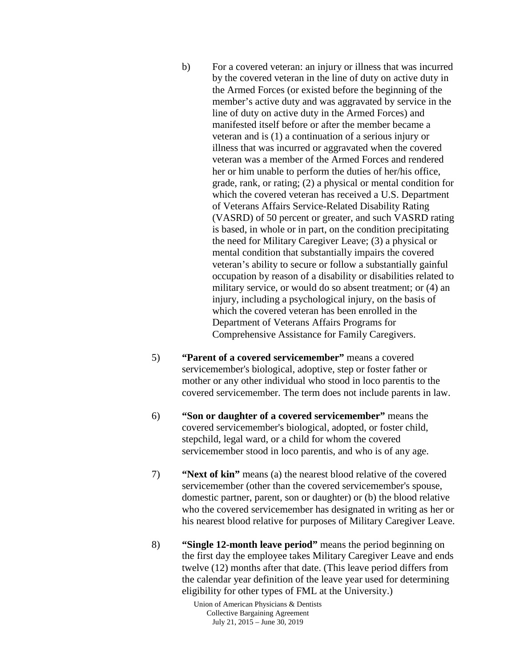- b) For a covered veteran: an injury or illness that was incurred by the covered veteran in the line of duty on active duty in the Armed Forces (or existed before the beginning of the member's active duty and was aggravated by service in the line of duty on active duty in the Armed Forces) and manifested itself before or after the member became a veteran and is (1) a continuation of a serious injury or illness that was incurred or aggravated when the covered veteran was a member of the Armed Forces and rendered her or him unable to perform the duties of her/his office, grade, rank, or rating; (2) a physical or mental condition for which the covered veteran has received a U.S. Department of Veterans Affairs Service-Related Disability Rating (VASRD) of 50 percent or greater, and such VASRD rating is based, in whole or in part, on the condition precipitating the need for Military Caregiver Leave; (3) a physical or mental condition that substantially impairs the covered veteran's ability to secure or follow a substantially gainful occupation by reason of a disability or disabilities related to military service, or would do so absent treatment; or (4) an injury, including a psychological injury, on the basis of which the covered veteran has been enrolled in the Department of Veterans Affairs Programs for Comprehensive Assistance for Family Caregivers.
- 5) **"Parent of a covered servicemember"** means a covered servicemember's biological, adoptive, step or foster father or mother or any other individual who stood in loco parentis to the covered servicemember. The term does not include parents in law.
- 6) **"Son or daughter of a covered servicemember"** means the covered servicemember's biological, adopted, or foster child, stepchild, legal ward, or a child for whom the covered servicemember stood in loco parentis, and who is of any age.
- 7) **"Next of kin"** means (a) the nearest blood relative of the covered servicemember (other than the covered servicemember's spouse, domestic partner, parent, son or daughter) or (b) the blood relative who the covered servicemember has designated in writing as her or his nearest blood relative for purposes of Military Caregiver Leave.
- 8) **"Single 12-month leave period"** means the period beginning on the first day the employee takes Military Caregiver Leave and ends twelve (12) months after that date. (This leave period differs from the calendar year definition of the leave year used for determining eligibility for other types of FML at the University.)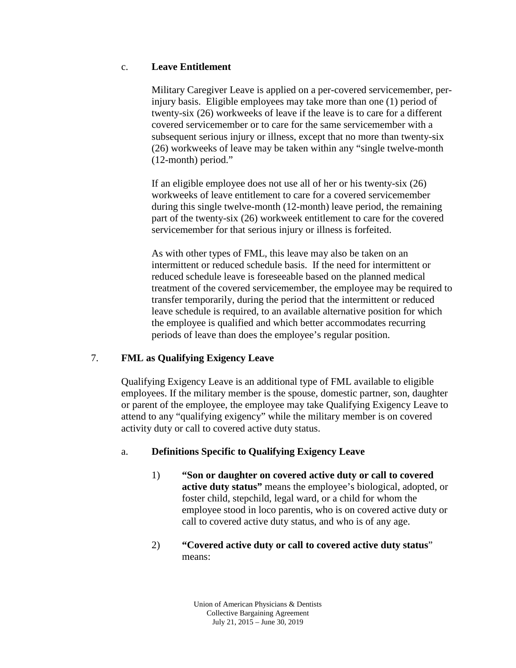### c. **Leave Entitlement**

Military Caregiver Leave is applied on a per-covered servicemember, perinjury basis. Eligible employees may take more than one (1) period of twenty-six (26) workweeks of leave if the leave is to care for a different covered servicemember or to care for the same servicemember with a subsequent serious injury or illness, except that no more than twenty-six (26) workweeks of leave may be taken within any "single twelve-month (12-month) period."

If an eligible employee does not use all of her or his twenty-six (26) workweeks of leave entitlement to care for a covered servicemember during this single twelve-month (12-month) leave period, the remaining part of the twenty-six (26) workweek entitlement to care for the covered servicemember for that serious injury or illness is forfeited.

As with other types of FML, this leave may also be taken on an intermittent or reduced schedule basis. If the need for intermittent or reduced schedule leave is foreseeable based on the planned medical treatment of the covered servicemember, the employee may be required to transfer temporarily, during the period that the intermittent or reduced leave schedule is required, to an available alternative position for which the employee is qualified and which better accommodates recurring periods of leave than does the employee's regular position.

# 7. **FML as Qualifying Exigency Leave**

Qualifying Exigency Leave is an additional type of FML available to eligible employees. If the military member is the spouse, domestic partner, son, daughter or parent of the employee, the employee may take Qualifying Exigency Leave to attend to any "qualifying exigency" while the military member is on covered activity duty or call to covered active duty status.

# a. **Definitions Specific to Qualifying Exigency Leave**

1) **"Son or daughter on covered active duty or call to covered active duty status"** means the employee's biological, adopted, or foster child, stepchild, legal ward, or a child for whom the employee stood in loco parentis, who is on covered active duty or call to covered active duty status, and who is of any age.

### 2) **"Covered active duty or call to covered active duty status**" means: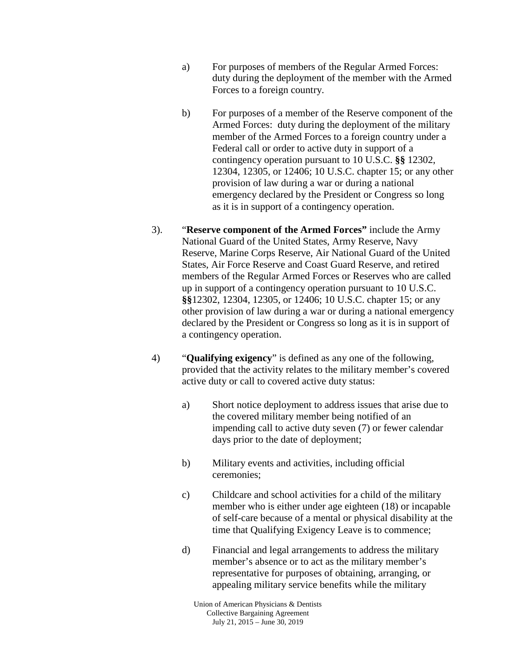- a) For purposes of members of the Regular Armed Forces: duty during the deployment of the member with the Armed Forces to a foreign country.
- b) For purposes of a member of the Reserve component of the Armed Forces: duty during the deployment of the military member of the Armed Forces to a foreign country under a Federal call or order to active duty in support of a contingency operation pursuant to 10 U.S.C. **§§** 12302, 12304, 12305, or 12406; 10 U.S.C. chapter 15; or any other provision of law during a war or during a national emergency declared by the President or Congress so long as it is in support of a contingency operation.
- 3). "**Reserve component of the Armed Forces"** include the Army National Guard of the United States, Army Reserve, Navy Reserve, Marine Corps Reserve, Air National Guard of the United States, Air Force Reserve and Coast Guard Reserve, and retired members of the Regular Armed Forces or Reserves who are called up in support of a contingency operation pursuant to 10 U.S.C. **§§**12302, 12304, 12305, or 12406; 10 U.S.C. chapter 15; or any other provision of law during a war or during a national emergency declared by the President or Congress so long as it is in support of a contingency operation.
- 4) "**Qualifying exigency**" is defined as any one of the following, provided that the activity relates to the military member's covered active duty or call to covered active duty status:
	- a) Short notice deployment to address issues that arise due to the covered military member being notified of an impending call to active duty seven (7) or fewer calendar days prior to the date of deployment;
	- b) Military events and activities, including official ceremonies;
	- c) Childcare and school activities for a child of the military member who is either under age eighteen (18) or incapable of self-care because of a mental or physical disability at the time that Qualifying Exigency Leave is to commence;
	- d) Financial and legal arrangements to address the military member's absence or to act as the military member's representative for purposes of obtaining, arranging, or appealing military service benefits while the military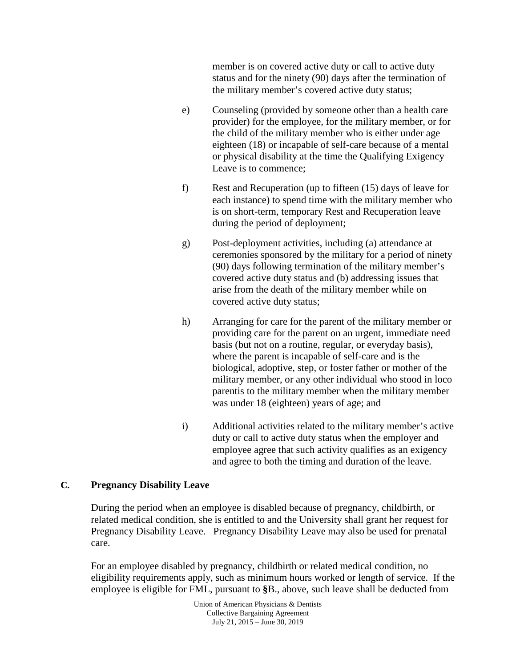member is on covered active duty or call to active duty status and for the ninety (90) days after the termination of the military member's covered active duty status;

- e) Counseling (provided by someone other than a health care provider) for the employee, for the military member, or for the child of the military member who is either under age eighteen (18) or incapable of self-care because of a mental or physical disability at the time the Qualifying Exigency Leave is to commence;
- f) Rest and Recuperation (up to fifteen (15) days of leave for each instance) to spend time with the military member who is on short-term, temporary Rest and Recuperation leave during the period of deployment;
- g) Post-deployment activities, including (a) attendance at ceremonies sponsored by the military for a period of ninety (90) days following termination of the military member's covered active duty status and (b) addressing issues that arise from the death of the military member while on covered active duty status;
- h) Arranging for care for the parent of the military member or providing care for the parent on an urgent, immediate need basis (but not on a routine, regular, or everyday basis), where the parent is incapable of self-care and is the biological, adoptive, step, or foster father or mother of the military member, or any other individual who stood in loco parentis to the military member when the military member was under 18 (eighteen) years of age; and
- i) Additional activities related to the military member's active duty or call to active duty status when the employer and employee agree that such activity qualifies as an exigency and agree to both the timing and duration of the leave.

### **C. Pregnancy Disability Leave**

During the period when an employee is disabled because of pregnancy, childbirth, or related medical condition, she is entitled to and the University shall grant her request for Pregnancy Disability Leave. Pregnancy Disability Leave may also be used for prenatal care.

For an employee disabled by pregnancy, childbirth or related medical condition, no eligibility requirements apply, such as minimum hours worked or length of service. If the employee is eligible for FML, pursuant to **§**B., above, such leave shall be deducted from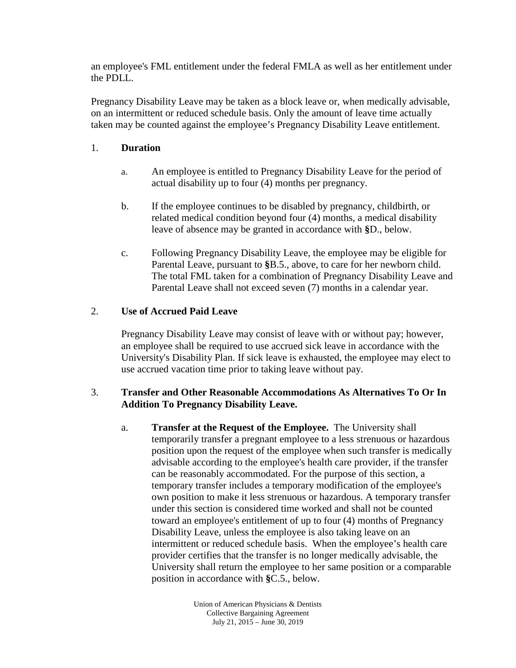an employee's FML entitlement under the federal FMLA as well as her entitlement under the PDLL.

Pregnancy Disability Leave may be taken as a block leave or, when medically advisable, on an intermittent or reduced schedule basis. Only the amount of leave time actually taken may be counted against the employee's Pregnancy Disability Leave entitlement.

### 1. **Duration**

- a. An employee is entitled to Pregnancy Disability Leave for the period of actual disability up to four (4) months per pregnancy.
- b. If the employee continues to be disabled by pregnancy, childbirth, or related medical condition beyond four (4) months, a medical disability leave of absence may be granted in accordance with **§**D., below.
- c. Following Pregnancy Disability Leave, the employee may be eligible for Parental Leave, pursuant to **§**B.5., above, to care for her newborn child. The total FML taken for a combination of Pregnancy Disability Leave and Parental Leave shall not exceed seven (7) months in a calendar year.

# 2. **Use of Accrued Paid Leave**

Pregnancy Disability Leave may consist of leave with or without pay; however, an employee shall be required to use accrued sick leave in accordance with the University's Disability Plan. If sick leave is exhausted, the employee may elect to use accrued vacation time prior to taking leave without pay.

## 3. **Transfer and Other Reasonable Accommodations As Alternatives To Or In Addition To Pregnancy Disability Leave.**

a. **Transfer at the Request of the Employee.** The University shall temporarily transfer a pregnant employee to a less strenuous or hazardous position upon the request of the employee when such transfer is medically advisable according to the employee's health care provider, if the transfer can be reasonably accommodated. For the purpose of this section, a temporary transfer includes a temporary modification of the employee's own position to make it less strenuous or hazardous. A temporary transfer under this section is considered time worked and shall not be counted toward an employee's entitlement of up to four (4) months of Pregnancy Disability Leave, unless the employee is also taking leave on an intermittent or reduced schedule basis. When the employee's health care provider certifies that the transfer is no longer medically advisable, the University shall return the employee to her same position or a comparable position in accordance with **§**C.5., below.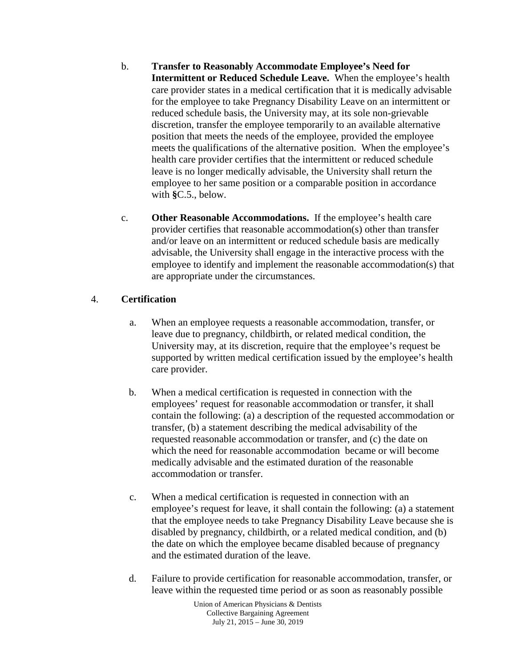- b. **Transfer to Reasonably Accommodate Employee's Need for Intermittent or Reduced Schedule Leave.** When the employee's health care provider states in a medical certification that it is medically advisable for the employee to take Pregnancy Disability Leave on an intermittent or reduced schedule basis, the University may, at its sole non-grievable discretion, transfer the employee temporarily to an available alternative position that meets the needs of the employee, provided the employee meets the qualifications of the alternative position. When the employee's health care provider certifies that the intermittent or reduced schedule leave is no longer medically advisable, the University shall return the employee to her same position or a comparable position in accordance with **§**C.5., below.
- c. **Other Reasonable Accommodations.** If the employee's health care provider certifies that reasonable accommodation(s) other than transfer and/or leave on an intermittent or reduced schedule basis are medically advisable, the University shall engage in the interactive process with the employee to identify and implement the reasonable accommodation(s) that are appropriate under the circumstances.

## 4. **Certification**

- a. When an employee requests a reasonable accommodation, transfer, or leave due to pregnancy, childbirth, or related medical condition, the University may, at its discretion, require that the employee's request be supported by written medical certification issued by the employee's health care provider.
- b. When a medical certification is requested in connection with the employees' request for reasonable accommodation or transfer, it shall contain the following: (a) a description of the requested accommodation or transfer, (b) a statement describing the medical advisability of the requested reasonable accommodation or transfer, and (c) the date on which the need for reasonable accommodation became or will become medically advisable and the estimated duration of the reasonable accommodation or transfer.
- c. When a medical certification is requested in connection with an employee's request for leave, it shall contain the following: (a) a statement that the employee needs to take Pregnancy Disability Leave because she is disabled by pregnancy, childbirth, or a related medical condition, and (b) the date on which the employee became disabled because of pregnancy and the estimated duration of the leave.
- d. Failure to provide certification for reasonable accommodation, transfer, or leave within the requested time period or as soon as reasonably possible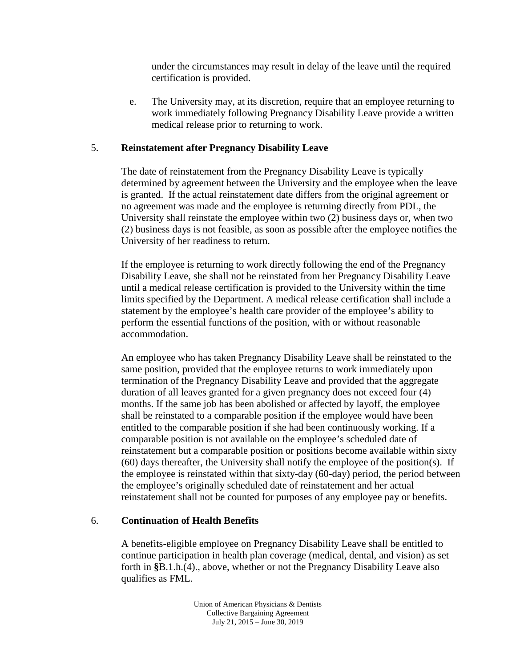under the circumstances may result in delay of the leave until the required certification is provided.

e. The University may, at its discretion, require that an employee returning to work immediately following Pregnancy Disability Leave provide a written medical release prior to returning to work.

### 5. **Reinstatement after Pregnancy Disability Leave**

The date of reinstatement from the Pregnancy Disability Leave is typically determined by agreement between the University and the employee when the leave is granted. If the actual reinstatement date differs from the original agreement or no agreement was made and the employee is returning directly from PDL, the University shall reinstate the employee within two (2) business days or, when two (2) business days is not feasible, as soon as possible after the employee notifies the University of her readiness to return.

If the employee is returning to work directly following the end of the Pregnancy Disability Leave, she shall not be reinstated from her Pregnancy Disability Leave until a medical release certification is provided to the University within the time limits specified by the Department. A medical release certification shall include a statement by the employee's health care provider of the employee's ability to perform the essential functions of the position, with or without reasonable accommodation.

An employee who has taken Pregnancy Disability Leave shall be reinstated to the same position, provided that the employee returns to work immediately upon termination of the Pregnancy Disability Leave and provided that the aggregate duration of all leaves granted for a given pregnancy does not exceed four (4) months. If the same job has been abolished or affected by layoff, the employee shall be reinstated to a comparable position if the employee would have been entitled to the comparable position if she had been continuously working. If a comparable position is not available on the employee's scheduled date of reinstatement but a comparable position or positions become available within sixty (60) days thereafter, the University shall notify the employee of the position(s). If the employee is reinstated within that sixty-day (60-day) period, the period between the employee's originally scheduled date of reinstatement and her actual reinstatement shall not be counted for purposes of any employee pay or benefits.

#### 6. **Continuation of Health Benefits**

A benefits-eligible employee on Pregnancy Disability Leave shall be entitled to continue participation in health plan coverage (medical, dental, and vision) as set forth in **§**B.1.h.(4)., above, whether or not the Pregnancy Disability Leave also qualifies as FML.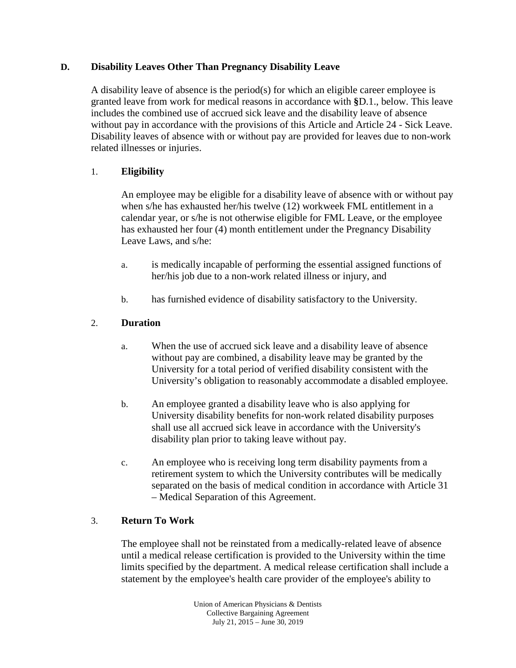### **D. Disability Leaves Other Than Pregnancy Disability Leave**

A disability leave of absence is the period(s) for which an eligible career employee is granted leave from work for medical reasons in accordance with **§**D.1., below. This leave includes the combined use of accrued sick leave and the disability leave of absence without pay in accordance with the provisions of this Article and Article 24 - Sick Leave. Disability leaves of absence with or without pay are provided for leaves due to non-work related illnesses or injuries.

# 1. **Eligibility**

An employee may be eligible for a disability leave of absence with or without pay when s/he has exhausted her/his twelve (12) workweek FML entitlement in a calendar year, or s/he is not otherwise eligible for FML Leave, or the employee has exhausted her four (4) month entitlement under the Pregnancy Disability Leave Laws, and s/he:

- a. is medically incapable of performing the essential assigned functions of her/his job due to a non-work related illness or injury, and
- b. has furnished evidence of disability satisfactory to the University.

## 2. **Duration**

- a. When the use of accrued sick leave and a disability leave of absence without pay are combined, a disability leave may be granted by the University for a total period of verified disability consistent with the University's obligation to reasonably accommodate a disabled employee.
- b. An employee granted a disability leave who is also applying for University disability benefits for non-work related disability purposes shall use all accrued sick leave in accordance with the University's disability plan prior to taking leave without pay.
- c. An employee who is receiving long term disability payments from a retirement system to which the University contributes will be medically separated on the basis of medical condition in accordance with Article 31 – Medical Separation of this Agreement.

### 3. **Return To Work**

The employee shall not be reinstated from a medically-related leave of absence until a medical release certification is provided to the University within the time limits specified by the department. A medical release certification shall include a statement by the employee's health care provider of the employee's ability to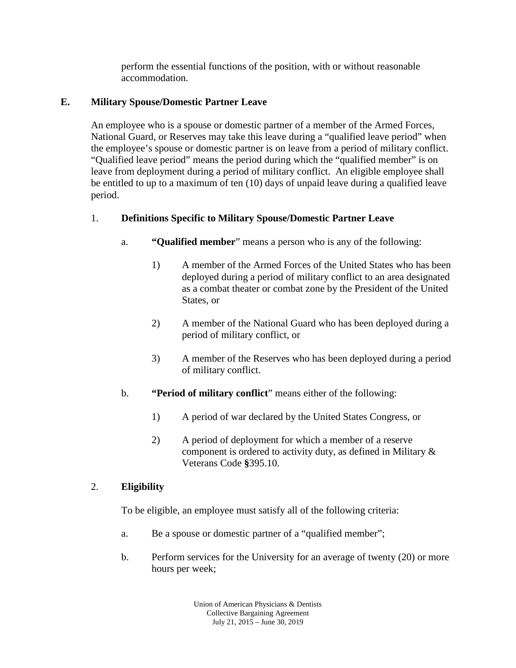perform the essential functions of the position, with or without reasonable accommodation.

# **E. Military Spouse/Domestic Partner Leave**

An employee who is a spouse or domestic partner of a member of the Armed Forces, National Guard, or Reserves may take this leave during a "qualified leave period" when the employee's spouse or domestic partner is on leave from a period of military conflict. "Qualified leave period" means the period during which the "qualified member" is on leave from deployment during a period of military conflict. An eligible employee shall be entitled to up to a maximum of ten (10) days of unpaid leave during a qualified leave period.

# 1. **Definitions Specific to Military Spouse/Domestic Partner Leave**

- a. **"Qualified member**" means a person who is any of the following:
	- 1) A member of the Armed Forces of the United States who has been deployed during a period of military conflict to an area designated as a combat theater or combat zone by the President of the United States, or
	- 2) A member of the National Guard who has been deployed during a period of military conflict, or
	- 3) A member of the Reserves who has been deployed during a period of military conflict.
- b. **"Period of military conflict**" means either of the following:
	- 1) A period of war declared by the United States Congress, or
	- 2) A period of deployment for which a member of a reserve component is ordered to activity duty, as defined in Military & Veterans Code **§**395.10.

# 2. **Eligibility**

To be eligible, an employee must satisfy all of the following criteria:

- a. Be a spouse or domestic partner of a "qualified member";
- b. Perform services for the University for an average of twenty (20) or more hours per week;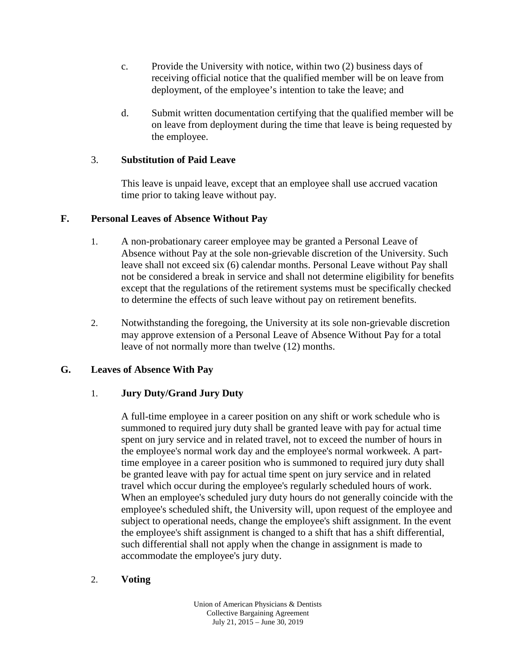- c. Provide the University with notice, within two (2) business days of receiving official notice that the qualified member will be on leave from deployment, of the employee's intention to take the leave; and
- d. Submit written documentation certifying that the qualified member will be on leave from deployment during the time that leave is being requested by the employee.

### 3. **Substitution of Paid Leave**

This leave is unpaid leave, except that an employee shall use accrued vacation time prior to taking leave without pay.

# **F. Personal Leaves of Absence Without Pay**

- 1. A non-probationary career employee may be granted a Personal Leave of Absence without Pay at the sole non-grievable discretion of the University. Such leave shall not exceed six (6) calendar months. Personal Leave without Pay shall not be considered a break in service and shall not determine eligibility for benefits except that the regulations of the retirement systems must be specifically checked to determine the effects of such leave without pay on retirement benefits.
- 2. Notwithstanding the foregoing, the University at its sole non-grievable discretion may approve extension of a Personal Leave of Absence Without Pay for a total leave of not normally more than twelve (12) months.

### **G. Leaves of Absence With Pay**

# 1. **Jury Duty/Grand Jury Duty**

A full-time employee in a career position on any shift or work schedule who is summoned to required jury duty shall be granted leave with pay for actual time spent on jury service and in related travel, not to exceed the number of hours in the employee's normal work day and the employee's normal workweek. A parttime employee in a career position who is summoned to required jury duty shall be granted leave with pay for actual time spent on jury service and in related travel which occur during the employee's regularly scheduled hours of work. When an employee's scheduled jury duty hours do not generally coincide with the employee's scheduled shift, the University will, upon request of the employee and subject to operational needs, change the employee's shift assignment. In the event the employee's shift assignment is changed to a shift that has a shift differential, such differential shall not apply when the change in assignment is made to accommodate the employee's jury duty.

### 2. **Voting**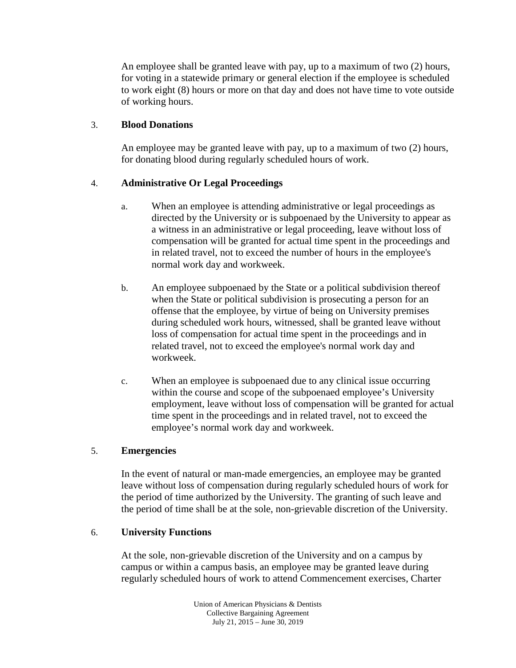An employee shall be granted leave with pay, up to a maximum of two (2) hours, for voting in a statewide primary or general election if the employee is scheduled to work eight (8) hours or more on that day and does not have time to vote outside of working hours.

## 3. **Blood Donations**

An employee may be granted leave with pay, up to a maximum of two (2) hours, for donating blood during regularly scheduled hours of work.

# 4. **Administrative Or Legal Proceedings**

- a. When an employee is attending administrative or legal proceedings as directed by the University or is subpoenaed by the University to appear as a witness in an administrative or legal proceeding, leave without loss of compensation will be granted for actual time spent in the proceedings and in related travel, not to exceed the number of hours in the employee's normal work day and workweek.
- b. An employee subpoenaed by the State or a political subdivision thereof when the State or political subdivision is prosecuting a person for an offense that the employee, by virtue of being on University premises during scheduled work hours, witnessed, shall be granted leave without loss of compensation for actual time spent in the proceedings and in related travel, not to exceed the employee's normal work day and workweek.
- c. When an employee is subpoenaed due to any clinical issue occurring within the course and scope of the subpoenaed employee's University employment, leave without loss of compensation will be granted for actual time spent in the proceedings and in related travel, not to exceed the employee's normal work day and workweek.

### 5. **Emergencies**

In the event of natural or man-made emergencies, an employee may be granted leave without loss of compensation during regularly scheduled hours of work for the period of time authorized by the University. The granting of such leave and the period of time shall be at the sole, non-grievable discretion of the University.

### 6. **University Functions**

At the sole, non-grievable discretion of the University and on a campus by campus or within a campus basis, an employee may be granted leave during regularly scheduled hours of work to attend Commencement exercises, Charter